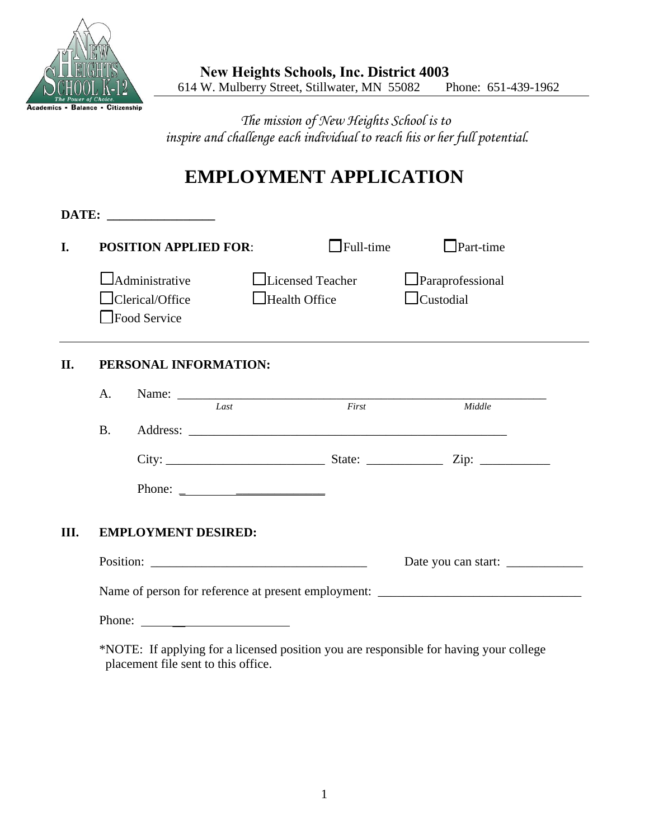

**New Heights Schools, Inc. District 4003** 614 W. Mulberry Street, Stillwater, MN 55082 Phone: 651-439-1962

 *The mission of New Heights School is to inspire and challenge each individual to reach his or her full potential.*

# **EMPLOYMENT APPLICATION**

| DATE: |           |                                                                                                                                                                                                                                                                                                                                                                                                              |                                          |                                             |  |
|-------|-----------|--------------------------------------------------------------------------------------------------------------------------------------------------------------------------------------------------------------------------------------------------------------------------------------------------------------------------------------------------------------------------------------------------------------|------------------------------------------|---------------------------------------------|--|
| I.    |           | <b>POSITION APPLIED FOR:</b>                                                                                                                                                                                                                                                                                                                                                                                 | $\Box$ Full-time                         | $\Box$ Part-time                            |  |
|       |           | $\Box$ Administrative<br>Clerical/Office<br>Food Service                                                                                                                                                                                                                                                                                                                                                     | Licensed Teacher<br>$\Box$ Health Office | $\Box$ Paraprofessional<br>$\Box$ Custodial |  |
| II.   |           | PERSONAL INFORMATION:                                                                                                                                                                                                                                                                                                                                                                                        |                                          |                                             |  |
|       | A.        | Last                                                                                                                                                                                                                                                                                                                                                                                                         | First                                    | Middle                                      |  |
|       | <b>B.</b> |                                                                                                                                                                                                                                                                                                                                                                                                              |                                          |                                             |  |
|       |           |                                                                                                                                                                                                                                                                                                                                                                                                              |                                          |                                             |  |
|       |           |                                                                                                                                                                                                                                                                                                                                                                                                              |                                          |                                             |  |
| III.  |           | <b>EMPLOYMENT DESIRED:</b>                                                                                                                                                                                                                                                                                                                                                                                   |                                          |                                             |  |
|       |           |                                                                                                                                                                                                                                                                                                                                                                                                              |                                          | Date you can start: ______________          |  |
|       |           |                                                                                                                                                                                                                                                                                                                                                                                                              |                                          |                                             |  |
|       |           | Phone: $\frac{1}{\sqrt{1-\frac{1}{2}}\sqrt{1-\frac{1}{2}}\sqrt{1-\frac{1}{2}}\sqrt{1-\frac{1}{2}}\sqrt{1-\frac{1}{2}}\sqrt{1-\frac{1}{2}}\sqrt{1-\frac{1}{2}}\sqrt{1-\frac{1}{2}}\sqrt{1-\frac{1}{2}}\sqrt{1-\frac{1}{2}}\sqrt{1-\frac{1}{2}}\sqrt{1-\frac{1}{2}}\sqrt{1-\frac{1}{2}}\sqrt{1-\frac{1}{2}}\sqrt{1-\frac{1}{2}}\sqrt{1-\frac{1}{2}}\sqrt{1-\frac{1}{2}}\sqrt{1-\frac{1}{2}}\sqrt{1-\frac{1}{2$ |                                          |                                             |  |

\*NOTE: If applying for a licensed position you are responsible for having your college placement file sent to this office.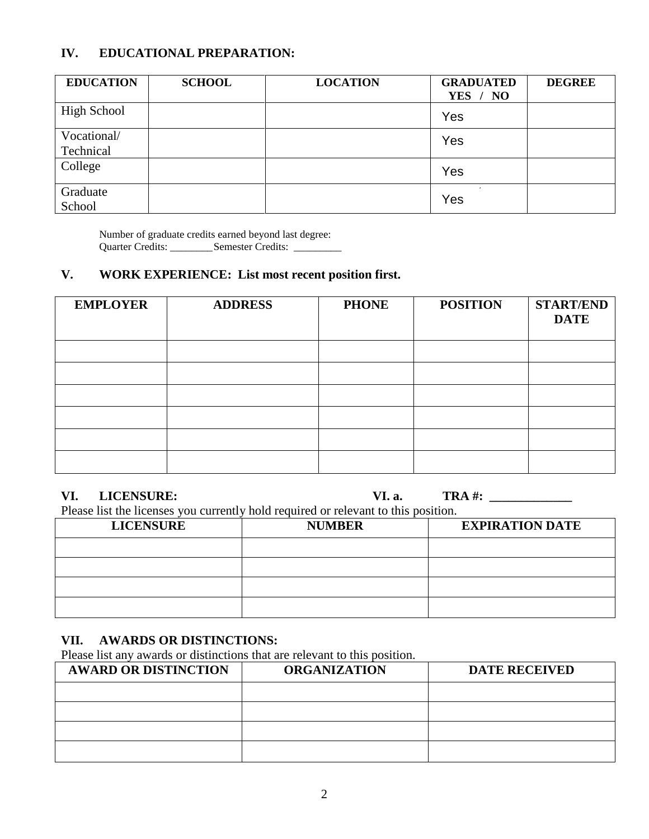# **IV. EDUCATIONAL PREPARATION:**

| <b>EDUCATION</b>         | <b>SCHOOL</b> | <b>LOCATION</b> | <b>GRADUATED</b><br><b>YES</b><br><b>NO</b> | <b>DEGREE</b> |
|--------------------------|---------------|-----------------|---------------------------------------------|---------------|
| <b>High School</b>       |               |                 | Yes                                         |               |
| Vocational/<br>Technical |               |                 | Yes                                         |               |
| College                  |               |                 | Yes                                         |               |
| Graduate<br>School       |               |                 | Yes                                         |               |

Number of graduate credits earned beyond last degree: Quarter Credits: \_\_\_\_\_\_\_\_\_Semester Credits: \_\_\_\_\_\_\_\_\_\_

# **V. WORK EXPERIENCE: List most recent position first.**

| <b>EMPLOYER</b> | <b>ADDRESS</b> | <b>PHONE</b> | <b>POSITION</b> | <b>START/END</b><br><b>DATE</b> |
|-----------------|----------------|--------------|-----------------|---------------------------------|
|                 |                |              |                 |                                 |
|                 |                |              |                 |                                 |
|                 |                |              |                 |                                 |
|                 |                |              |                 |                                 |
|                 |                |              |                 |                                 |
|                 |                |              |                 |                                 |

# **VI. LICENSURE: VI. a. TRA #:**

Please list the licenses you currently hold required or relevant to this position.

| <b>LICENSURE</b> | <b>NUMBER</b> | <b>EXPIRATION DATE</b> |
|------------------|---------------|------------------------|
|                  |               |                        |
|                  |               |                        |
|                  |               |                        |
|                  |               |                        |

#### **VII. AWARDS OR DISTINCTIONS:**

Please list any awards or distinctions that are relevant to this position.

| <b>AWARD OR DISTINCTION</b> | <b>ORGANIZATION</b> | <b>DATE RECEIVED</b> |
|-----------------------------|---------------------|----------------------|
|                             |                     |                      |
|                             |                     |                      |
|                             |                     |                      |
|                             |                     |                      |